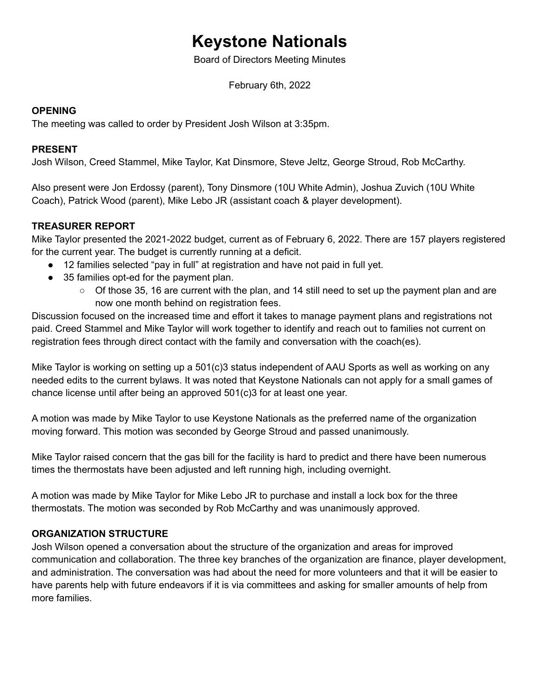# **Keystone Nationals**

Board of Directors Meeting Minutes

February 6th, 2022

#### **OPENING**

The meeting was called to order by President Josh Wilson at 3:35pm.

#### **PRESENT**

Josh Wilson, Creed Stammel, Mike Taylor, Kat Dinsmore, Steve Jeltz, George Stroud, Rob McCarthy.

Also present were Jon Erdossy (parent), Tony Dinsmore (10U White Admin), Joshua Zuvich (10U White Coach), Patrick Wood (parent), Mike Lebo JR (assistant coach & player development).

# **TREASURER REPORT**

Mike Taylor presented the 2021-2022 budget, current as of February 6, 2022. There are 157 players registered for the current year. The budget is currently running at a deficit.

- 12 families selected "pay in full" at registration and have not paid in full yet.
- 35 families opt-ed for the payment plan.
	- Of those 35, 16 are current with the plan, and 14 still need to set up the payment plan and are now one month behind on registration fees.

Discussion focused on the increased time and effort it takes to manage payment plans and registrations not paid. Creed Stammel and Mike Taylor will work together to identify and reach out to families not current on registration fees through direct contact with the family and conversation with the coach(es).

Mike Taylor is working on setting up a 501(c)3 status independent of AAU Sports as well as working on any needed edits to the current bylaws. It was noted that Keystone Nationals can not apply for a small games of chance license until after being an approved 501(c)3 for at least one year.

A motion was made by Mike Taylor to use Keystone Nationals as the preferred name of the organization moving forward. This motion was seconded by George Stroud and passed unanimously.

Mike Taylor raised concern that the gas bill for the facility is hard to predict and there have been numerous times the thermostats have been adjusted and left running high, including overnight.

A motion was made by Mike Taylor for Mike Lebo JR to purchase and install a lock box for the three thermostats. The motion was seconded by Rob McCarthy and was unanimously approved.

# **ORGANIZATION STRUCTURE**

Josh Wilson opened a conversation about the structure of the organization and areas for improved communication and collaboration. The three key branches of the organization are finance, player development, and administration. The conversation was had about the need for more volunteers and that it will be easier to have parents help with future endeavors if it is via committees and asking for smaller amounts of help from more families.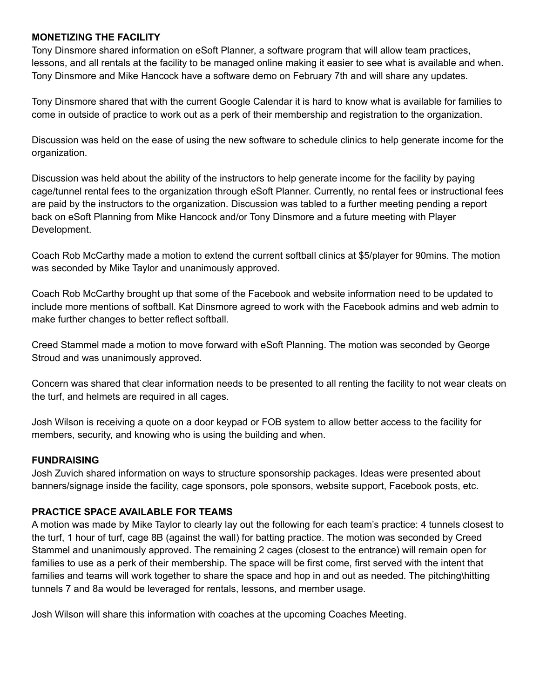#### **MONETIZING THE FACILITY**

Tony Dinsmore shared information on eSoft Planner, a software program that will allow team practices, lessons, and all rentals at the facility to be managed online making it easier to see what is available and when. Tony Dinsmore and Mike Hancock have a software demo on February 7th and will share any updates.

Tony Dinsmore shared that with the current Google Calendar it is hard to know what is available for families to come in outside of practice to work out as a perk of their membership and registration to the organization.

Discussion was held on the ease of using the new software to schedule clinics to help generate income for the organization.

Discussion was held about the ability of the instructors to help generate income for the facility by paying cage/tunnel rental fees to the organization through eSoft Planner. Currently, no rental fees or instructional fees are paid by the instructors to the organization. Discussion was tabled to a further meeting pending a report back on eSoft Planning from Mike Hancock and/or Tony Dinsmore and a future meeting with Player Development.

Coach Rob McCarthy made a motion to extend the current softball clinics at \$5/player for 90mins. The motion was seconded by Mike Taylor and unanimously approved.

Coach Rob McCarthy brought up that some of the Facebook and website information need to be updated to include more mentions of softball. Kat Dinsmore agreed to work with the Facebook admins and web admin to make further changes to better reflect softball.

Creed Stammel made a motion to move forward with eSoft Planning. The motion was seconded by George Stroud and was unanimously approved.

Concern was shared that clear information needs to be presented to all renting the facility to not wear cleats on the turf, and helmets are required in all cages.

Josh Wilson is receiving a quote on a door keypad or FOB system to allow better access to the facility for members, security, and knowing who is using the building and when.

#### **FUNDRAISING**

Josh Zuvich shared information on ways to structure sponsorship packages. Ideas were presented about banners/signage inside the facility, cage sponsors, pole sponsors, website support, Facebook posts, etc.

# **PRACTICE SPACE AVAILABLE FOR TEAMS**

A motion was made by Mike Taylor to clearly lay out the following for each team's practice: 4 tunnels closest to the turf, 1 hour of turf, cage 8B (against the wall) for batting practice. The motion was seconded by Creed Stammel and unanimously approved. The remaining 2 cages (closest to the entrance) will remain open for families to use as a perk of their membership. The space will be first come, first served with the intent that families and teams will work together to share the space and hop in and out as needed. The pitching\hitting tunnels 7 and 8a would be leveraged for rentals, lessons, and member usage.

Josh Wilson will share this information with coaches at the upcoming Coaches Meeting.